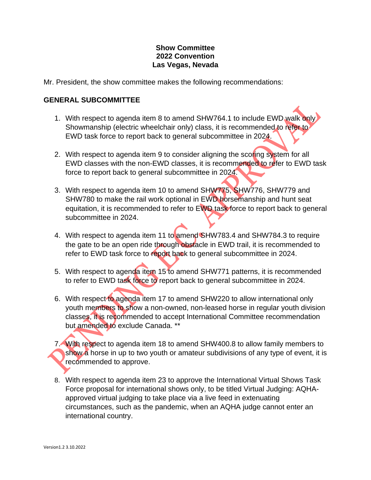## **Show Committee 2022 Convention Las Vegas, Nevada**

Mr. President, the show committee makes the following recommendations:

## **GENERAL SUBCOMMITTEE**

- 1. With respect to agenda item 8 to amend SHW764.1 to include EWD walk only Showmanship (electric wheelchair only) class, it is recommended to refer to EWD task force to report back to general subcommittee in 2024.
- 2. With respect to agenda item 9 to consider aligning the scoring system for all EWD classes with the non-EWD classes, it is recommended to refer to EWD task force to report back to general subcommittee in 2024.
- 3. With respect to agenda item 10 to amend SHW775, SHW776, SHW779 and SHW780 to make the rail work optional in EWD horsemanship and hunt seat equitation, it is recommended to refer to EWD task force to report back to general subcommittee in 2024.
- 4. With respect to agenda item 11 to amend SHW783.4 and SHW784.3 to require the gate to be an open ride through obstacle in EWD trail, it is recommended to refer to EWD task force to report back to general subcommittee in 2024.
- 5. With respect to agenda item 15 to amend SHW771 patterns, it is recommended to refer to EWD task force to report back to general subcommittee in 2024.
- 6. With respect to agenda item 17 to amend SHW220 to allow international only youth members to show a non-owned, non-leased horse in regular youth division classes, it is recommended to accept International Committee recommendation but amended to exclude Canada. \*\*
- 7. With respect to agenda item 18 to amend SHW400.8 to allow family members to show a horse in up to two youth or amateur subdivisions of any type of event, it is recommended to approve.
- 8. With respect to agenda item 23 to approve the International Virtual Shows Task Force proposal for international shows only, to be titled Virtual Judging: AQHAapproved virtual judging to take place via a live feed in extenuating circumstances, such as the pandemic, when an AQHA judge cannot enter an international country.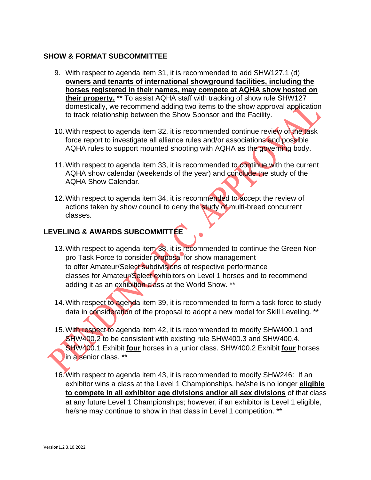# **SHOW & FORMAT SUBCOMMITTEE**

- 9. With respect to agenda item 31, it is recommended to add SHW127.1 (d) **owners and tenants of international showground facilities, including the horses registered in their names, may compete at AQHA show hosted on their property.** \*\* To assist AQHA staff with tracking of show rule SHW127 domestically, we recommend adding two items to the show approval application to track relationship between the Show Sponsor and the Facility.
- 10.With respect to agenda item 32, it is recommended continue review of the task force report to investigate all alliance rules and/or associations and possible AQHA rules to support mounted shooting with AQHA as the governing body.
- 11.With respect to agenda item 33, it is recommended to continue with the current AQHA show calendar (weekends of the year) and conclude the study of the AQHA Show Calendar.
- 12.With respect to agenda item 34, it is recommended to accept the review of actions taken by show council to deny the study of multi-breed concurrent classes.

# **LEVELING & AWARDS SUBCOMMITTEE**

- 13.With respect to agenda item 38, it is recommended to continue the Green Nonpro Task Force to consider proposal for show management to offer Amateur/Select subdivisions of respective performance classes for Amateur/Select exhibitors on Level 1 horses and to recommend adding it as an exhibition class at the World Show. \*\*
- 14. With respect to agenda item 39, it is recommended to form a task force to study data in consideration of the proposal to adopt a new model for Skill Leveling. \*\*
- 15.With respect to agenda item 42, it is recommended to modify SHW400.1 and SHW400.2 to be consistent with existing rule SHW400.3 and SHW400.4. SHW400.1 Exhibit **four** horses in a junior class. SHW400.2 Exhibit **four** horses in a senior class. \*\*
- 16.With respect to agenda item 43, it is recommended to modify SHW246: If an exhibitor wins a class at the Level 1 Championships, he/she is no longer **eligible to compete in all exhibitor age divisions and/or all sex divisions** of that class at any future Level 1 Championships; however, if an exhibitor is Level 1 eligible, he/she may continue to show in that class in Level 1 competition. \*\*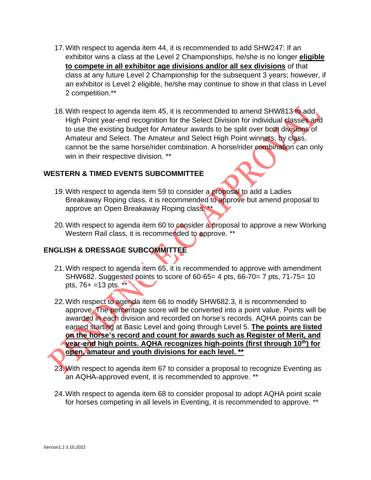- 17.With respect to agenda item 44, it is recommended to add SHW247: If an exhibitor wins a class at the Level 2 Championships, he/she is no longer **eligible to compete in all exhibitor age divisions and/or all sex divisions** of that class at any future Level 2 Championship for the subsequent 3 years; however, if an exhibitor is Level 2 eligible, he/she may continue to show in that class in Level 2 competition.\*\*
- 18. With respect to agenda item 45, it is recommended to amend SHW813 to add. High Point year-end recognition for the Select Division for individual classes and to use the existing budget for Amateur awards to be split over both divisions of Amateur and Select. The Amateur and Select High Point winners, by class, cannot be the same horse/rider combination. A horse/rider combination can only win in their respective division. \*\*

#### **WESTERN & TIMED EVENTS SUBCOMMITTEE**

- 19.With respect to agenda item 59 to consider a proposal to add a Ladies Breakaway Roping class, it is recommended to approve but amend proposal to approve an Open Breakaway Roping class. \*\*
- 20. With respect to agenda item 60 to consider a proposal to approve a new Working Western Rail class, it is recommended to approve. \*\*

## **ENGLISH & DRESSAGE SUBCOMMITTEE**

- 21.With respect to agenda item 65, it is recommended to approve with amendment SHW682. Suggested points to score of 60-65= 4 pts, 66-70= 7 pts, 71-75= 10 pts,  $76+ = 13$  pts.  $**$
- 22.With respect to agenda item 66 to modify SHW682.3, it is recommended to approve. The percentage score will be converted into a point value. Points will be awarded in each division and recorded on horse's records. AQHA points can be earned starting at Basic Level and going through Level 5. **The points are listed on the horse's record and count for awards such as Register of Merit, and year-end high points. AQHA recognizes high-points (first through 10th) for open, amateur and youth divisions for each level. \*\***
- 23. With respect to agenda item 67 to consider a proposal to recognize Eventing as an AQHA-approved event, it is recommended to approve. \*\*
- 24.With respect to agenda item 68 to consider proposal to adopt AQHA point scale for horses competing in all levels in Eventing, it is recommended to approve. \*\*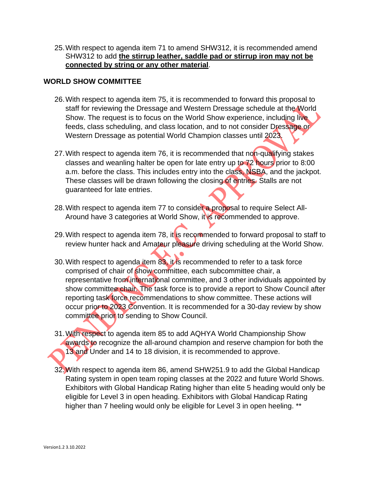25.With respect to agenda item 71 to amend SHW312, it is recommended amend SHW312 to add **the stirrup leather, saddle pad or stirrup iron may not be connected by string or any other material**.

## **WORLD SHOW COMMITTEE**

- 26.With respect to agenda item 75, it is recommended to forward this proposal to staff for reviewing the Dressage and Western Dressage schedule at the World Show. The request is to focus on the World Show experience, including live feeds, class scheduling, and class location, and to not consider Dressage or Western Dressage as potential World Champion classes until 2023.
- 27. With respect to agenda item 76, it is recommended that non-qualifying stakes classes and weanling halter be open for late entry up to 72 hours prior to 8:00 a.m. before the class. This includes entry into the class, NSBA, and the jackpot. These classes will be drawn following the closing of entries. Stalls are not guaranteed for late entries.
- 28. With respect to agenda item 77 to consider a proposal to require Select All-Around have 3 categories at World Show, it is recommended to approve.
- 29. With respect to agenda item 78, it is recommended to forward proposal to staff to review hunter hack and Amateur pleasure driving scheduling at the World Show.
- 30.With respect to agenda item 83, it is recommended to refer to a task force comprised of chair of show committee, each subcommittee chair, a representative from international committee, and 3 other individuals appointed by show committee chair. The task force is to provide a report to Show Council after reporting task force recommendations to show committee. These actions will occur prior to 2023 Convention. It is recommended for a 30-day review by show committee prior to sending to Show Council.
- 31.With respect to agenda item 85 to add AQHYA World Championship Show awards to recognize the all-around champion and reserve champion for both the 13 and Under and 14 to 18 division, it is recommended to approve.
- 32.With respect to agenda item 86, amend SHW251.9 to add the Global Handicap Rating system in open team roping classes at the 2022 and future World Shows. Exhibitors with Global Handicap Rating higher than elite 5 heading would only be eligible for Level 3 in open heading. Exhibitors with Global Handicap Rating higher than 7 heeling would only be eligible for Level 3 in open heeling. \*\*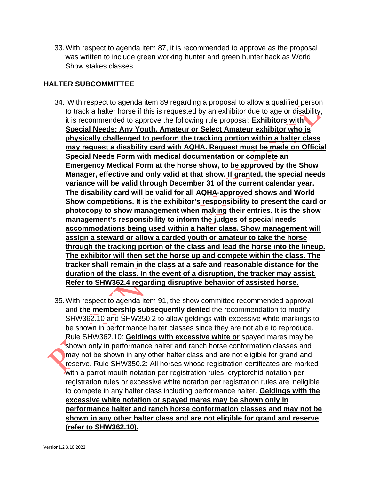33.With respect to agenda item 87, it is recommended to approve as the proposal was written to include green working hunter and green hunter hack as World Show stakes classes.

## **HALTER SUBCOMMITTEE**

- 34. With respect to agenda item 89 regarding a proposal to allow a qualified person to track a halter horse if this is requested by an exhibitor due to age or disability, it is recommended to approve the following rule proposal: **Exhibitors with Special Needs: Any Youth, Amateur or Select Amateur exhibitor who is physically challenged to perform the tracking portion within a halter class may request a disability card with AQHA. Request must be made on Official Special Needs Form with medical documentation or complete an Emergency Medical Form at the horse show, to be approved by the Show Manager, effective and only valid at that show. If granted, the special needs variance will be valid through December 31 of the current calendar year. The disability card will be valid for all AQHA-approved shows and World Show competitions. It is the exhibitor's responsibility to present the card or photocopy to show management when making their entries. It is the show management's responsibility to inform the judges of special needs accommodations being used within a halter class. Show management will assign a steward or allow a carded youth or amateur to take the horse through the tracking portion of the class and lead the horse into the lineup. The exhibitor will then set the horse up and compete within the class. The tracker shall remain in the class at a safe and reasonable distance for the duration of the class. In the event of a disruption, the tracker may assist. Refer to SHW362.4 regarding disruptive behavior of assisted horse.**
- 35.With respect to agenda item 91, the show committee recommended approval and **the membership subsequently denied** the recommendation to modify SHW362.10 and SHW350.2 to allow geldings with excessive white markings to be shown in performance halter classes since they are not able to reproduce. Rule SHW362.10: **Geldings with excessive white or** spayed mares may be shown only in performance halter and ranch horse conformation classes and may not be shown in any other halter class and are not eligible for grand and reserve. Rule SHW350.2: All horses whose registration certificates are marked with a parrot mouth notation per registration rules, cryptorchid notation per registration rules or excessive white notation per registration rules are ineligible to compete in any halter class including performance halter. **Geldings with the excessive white notation or spayed mares may be shown only in performance halter and ranch horse conformation classes and may not be shown in any other halter class and are not eligible for grand and reserve**. **(refer to SHW362.10).**